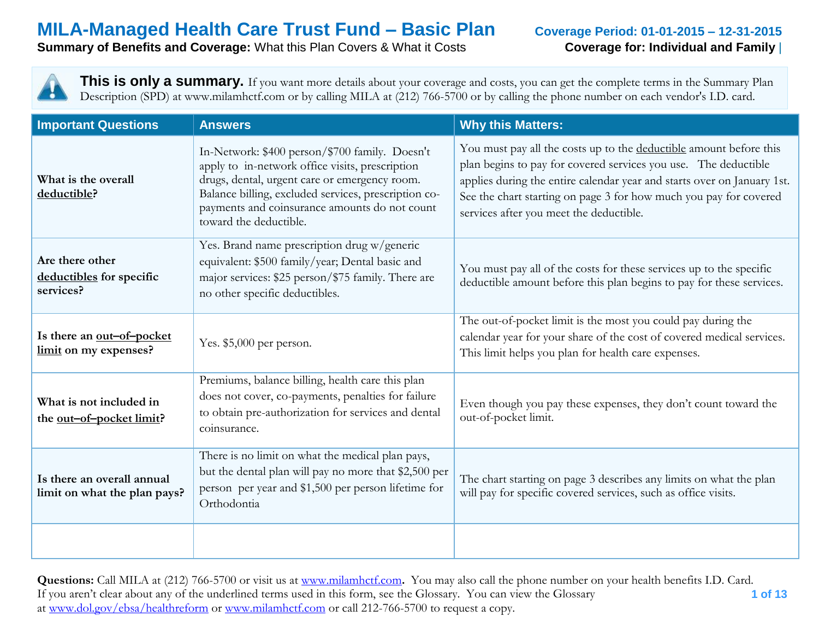**Summary of Benefits and Coverage:** What this Plan Covers & What it Costs **Coverage for: Individual and Family** 

**This is only a summary.** If you want more details about your coverage and costs, you can get the complete terms in the Summary Plan Description (SPD) at www.milamhctf.com or by calling MILA at (212) 766-5700 or by calling the phone number on each vendor's I.D. card.

| <b>Important Questions</b>                                  | <b>Answers</b>                                                                                                                                                                                                                                                                        | <b>Why this Matters:</b>                                                                                                                                                                                                                                                                                                         |
|-------------------------------------------------------------|---------------------------------------------------------------------------------------------------------------------------------------------------------------------------------------------------------------------------------------------------------------------------------------|----------------------------------------------------------------------------------------------------------------------------------------------------------------------------------------------------------------------------------------------------------------------------------------------------------------------------------|
| What is the overall<br>deductible?                          | In-Network: \$400 person/\$700 family. Doesn't<br>apply to in-network office visits, prescription<br>drugs, dental, urgent care or emergency room.<br>Balance billing, excluded services, prescription co-<br>payments and coinsurance amounts do not count<br>toward the deductible. | You must pay all the costs up to the deductible amount before this<br>plan begins to pay for covered services you use. The deductible<br>applies during the entire calendar year and starts over on January 1st.<br>See the chart starting on page 3 for how much you pay for covered<br>services after you meet the deductible. |
| Are there other<br>deductibles for specific<br>services?    | Yes. Brand name prescription drug w/generic<br>equivalent: \$500 family/year; Dental basic and<br>major services: \$25 person/\$75 family. There are<br>no other specific deductibles.                                                                                                | You must pay all of the costs for these services up to the specific<br>deductible amount before this plan begins to pay for these services.                                                                                                                                                                                      |
| Is there an out-of-pocket<br>limit on my expenses?          | Yes. $$5,000$ per person.                                                                                                                                                                                                                                                             | The out-of-pocket limit is the most you could pay during the<br>calendar year for your share of the cost of covered medical services.<br>This limit helps you plan for health care expenses.                                                                                                                                     |
| What is not included in<br>the <u>out-of-pocket limit</u> ? | Premiums, balance billing, health care this plan<br>does not cover, co-payments, penalties for failure<br>to obtain pre-authorization for services and dental<br>coinsurance.                                                                                                         | Even though you pay these expenses, they don't count toward the<br>out-of-pocket limit.                                                                                                                                                                                                                                          |
| Is there an overall annual<br>limit on what the plan pays?  | There is no limit on what the medical plan pays,<br>but the dental plan will pay no more that \$2,500 per<br>person per year and \$1,500 per person lifetime for<br>Orthodontia                                                                                                       | The chart starting on page 3 describes any limits on what the plan<br>will pay for specific covered services, such as office visits.                                                                                                                                                                                             |
|                                                             |                                                                                                                                                                                                                                                                                       |                                                                                                                                                                                                                                                                                                                                  |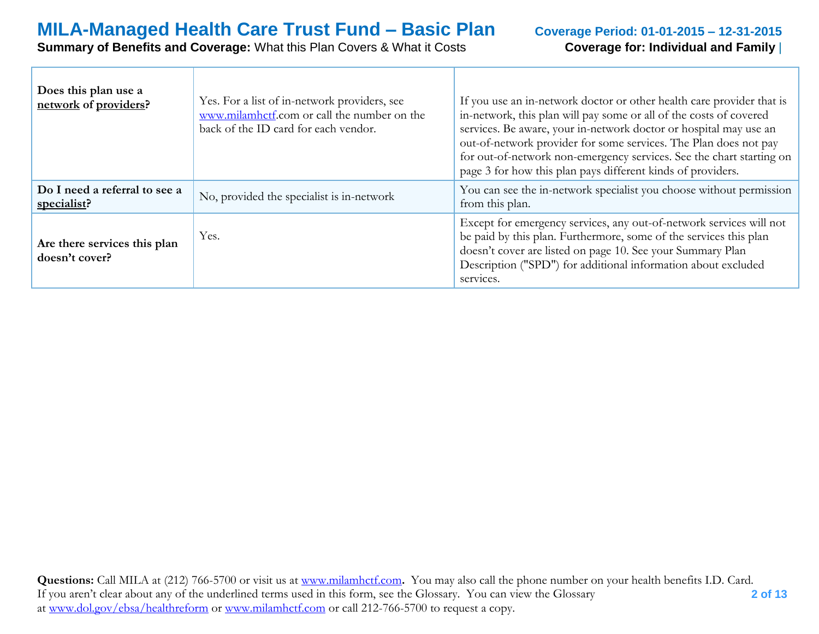# **MILA-Managed Health Care Trust Fund – Basic Plan** Coverage Period: 01-01-2015 – 12-31-2015<br>
Summary of Benefits and Coverage: What this Plan Covers & What it Costs Coverage for: Individual and Family |

#### **Summary of Benefits and Coverage: What this Plan Covers & What it Costs**

| Does this plan use a<br>network of providers?  | Yes. For a list of in-network providers, see<br>www.milamhctf.com or call the number on the<br>back of the ID card for each vendor. | If you use an in-network doctor or other health care provider that is<br>in-network, this plan will pay some or all of the costs of covered<br>services. Be aware, your in-network doctor or hospital may use an<br>out-of-network provider for some services. The Plan does not pay<br>for out-of-network non-emergency services. See the chart starting on<br>page 3 for how this plan pays different kinds of providers. |
|------------------------------------------------|-------------------------------------------------------------------------------------------------------------------------------------|-----------------------------------------------------------------------------------------------------------------------------------------------------------------------------------------------------------------------------------------------------------------------------------------------------------------------------------------------------------------------------------------------------------------------------|
| Do I need a referral to see a<br>specialist?   | No, provided the specialist is in-network                                                                                           | You can see the in-network specialist you choose without permission<br>from this plan.                                                                                                                                                                                                                                                                                                                                      |
| Are there services this plan<br>doesn't cover? | Yes.                                                                                                                                | Except for emergency services, any out-of-network services will not<br>be paid by this plan. Furthermore, some of the services this plan<br>doesn't cover are listed on page 10. See your Summary Plan<br>Description ("SPD") for additional information about excluded<br>services.                                                                                                                                        |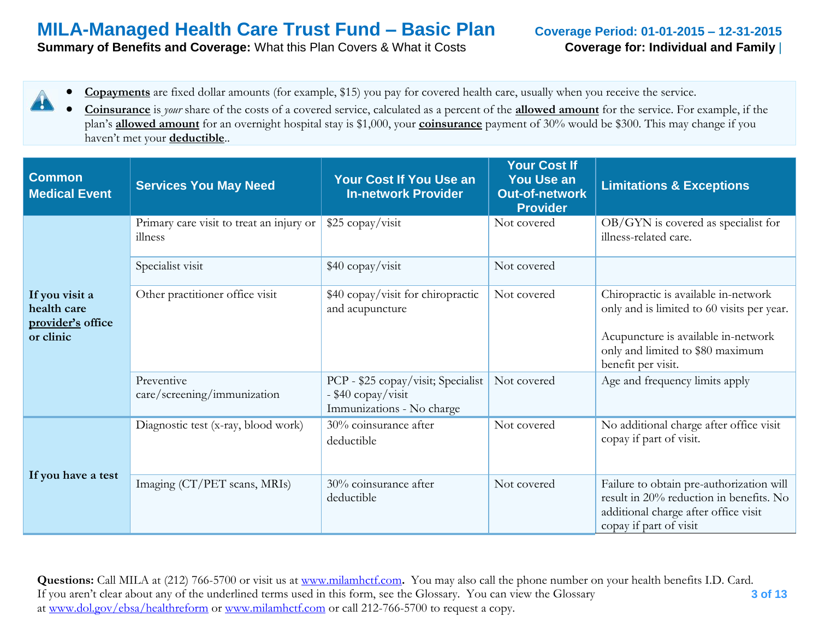**Summary of Benefits and Coverage:** What this Plan Covers & What it Costs **Coverage for: Individual and Family** 

- **Copayments** are fixed dollar amounts (for example, \$15) you pay for covered health care, usually when you receive the service. 4
	- **Coinsurance** is *your* share of the costs of a covered service, calculated as a percent of the **allowed amount** for the service. For example, if the plan's **allowed amount** for an overnight hospital stay is \$1,000, your **coinsurance** payment of 30% would be \$300. This may change if you haven't met your **deductible**..

| <b>Common</b><br><b>Medical Event</b>                           | <b>Services You May Need</b>                        | Your Cost If You Use an<br><b>In-network Provider</b>                                 | <b>Your Cost If</b><br><b>You Use an</b><br><b>Out-of-network</b><br><b>Provider</b> | <b>Limitations &amp; Exceptions</b>                                                                                                                                                 |
|-----------------------------------------------------------------|-----------------------------------------------------|---------------------------------------------------------------------------------------|--------------------------------------------------------------------------------------|-------------------------------------------------------------------------------------------------------------------------------------------------------------------------------------|
|                                                                 | Primary care visit to treat an injury or<br>illness | \$25 copay/visit                                                                      | Not covered                                                                          | OB/GYN is covered as specialist for<br>illness-related care.                                                                                                                        |
|                                                                 | Specialist visit                                    | \$40 copay/visit                                                                      | Not covered                                                                          |                                                                                                                                                                                     |
| If you visit a<br>health care<br>provider's office<br>or clinic | Other practitioner office visit                     | \$40 copay/visit for chiropractic<br>and acupuncture                                  | Not covered                                                                          | Chiropractic is available in-network<br>only and is limited to 60 visits per year.<br>Acupuncture is available in-network<br>only and limited to \$80 maximum<br>benefit per visit. |
|                                                                 | Preventive<br>care/screening/immunization           | PCP - \$25 copay/visit; Specialist<br>- \$40 copay/visit<br>Immunizations - No charge | Not covered                                                                          | Age and frequency limits apply                                                                                                                                                      |
|                                                                 | Diagnostic test (x-ray, blood work)                 | 30% coinsurance after<br>deductible                                                   | Not covered                                                                          | No additional charge after office visit<br>copay if part of visit.                                                                                                                  |
| If you have a test                                              | Imaging (CT/PET scans, MRIs)                        | 30% coinsurance after<br>deductible                                                   | Not covered                                                                          | Failure to obtain pre-authorization will<br>result in 20% reduction in benefits. No<br>additional charge after office visit<br>copay if part of visit                               |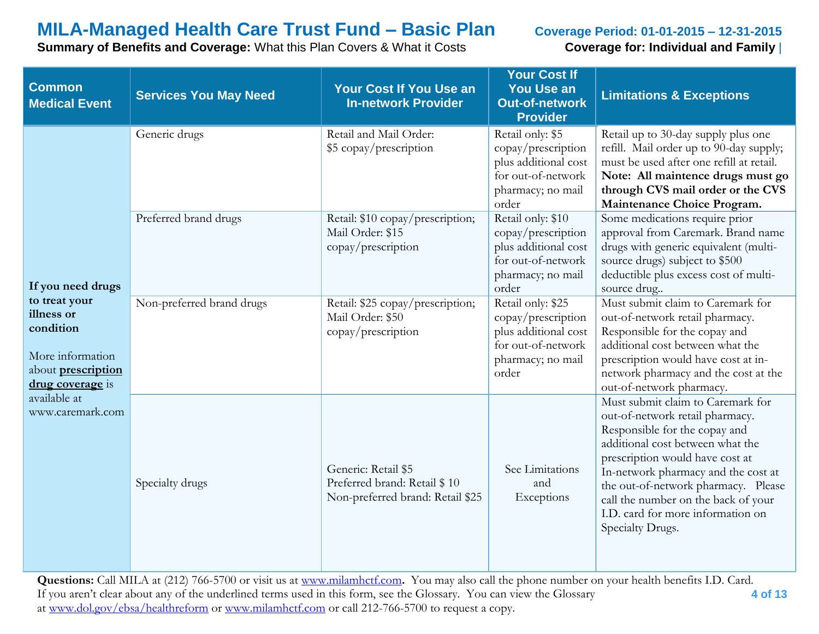**Summary of Benefits and Coverage:** What this Plan Covers & What it Costs **Coverage for: Individual and Family** |

| <b>Common</b><br><b>Medical Event</b>                                                                                              | <b>Services You May Need</b> | <b>Your Cost If You Use an</b><br><b>In-network Provider</b>                            | <b>Your Cost If</b><br>You Use an<br><b>Out-of-network</b><br><b>Provider</b>                                       | <b>Limitations &amp; Exceptions</b>                                                                                                                                                                                                                                                                                                                        |
|------------------------------------------------------------------------------------------------------------------------------------|------------------------------|-----------------------------------------------------------------------------------------|---------------------------------------------------------------------------------------------------------------------|------------------------------------------------------------------------------------------------------------------------------------------------------------------------------------------------------------------------------------------------------------------------------------------------------------------------------------------------------------|
|                                                                                                                                    | Generic drugs                | Retail and Mail Order:<br>\$5 copay/prescription                                        | Retail only: \$5<br>copay/prescription<br>plus additional cost<br>for out-of-network<br>pharmacy; no mail<br>order  | Retail up to 30-day supply plus one<br>refill. Mail order up to 90-day supply;<br>must be used after one refill at retail.<br>Note: All maintence drugs must go<br>through CVS mail order or the CVS<br>Maintenance Choice Program.                                                                                                                        |
| If you need drugs<br>to treat your<br>illness or<br>condition<br>More information<br>about <b>prescription</b><br>drug coverage is | Preferred brand drugs        | Retail: \$10 copay/prescription;<br>Mail Order: \$15<br>copay/prescription              | Retail only: \$10<br>copay/prescription<br>plus additional cost<br>for out-of-network<br>pharmacy; no mail<br>order | Some medications require prior<br>approval from Caremark. Brand name<br>drugs with generic equivalent (multi-<br>source drugs) subject to \$500<br>deductible plus excess cost of multi-<br>source drug                                                                                                                                                    |
|                                                                                                                                    | Non-preferred brand drugs    | Retail: \$25 copay/prescription;<br>Mail Order: \$50<br>copay/prescription              | Retail only: \$25<br>copay/prescription<br>plus additional cost<br>for out-of-network<br>pharmacy; no mail<br>order | Must submit claim to Caremark for<br>out-of-network retail pharmacy.<br>Responsible for the copay and<br>additional cost between what the<br>prescription would have cost at in-<br>network pharmacy and the cost at the<br>out-of-network pharmacy.                                                                                                       |
| available at<br>www.caremark.com                                                                                                   | Specialty drugs              | Generic: Retail \$5<br>Preferred brand: Retail \$10<br>Non-preferred brand: Retail \$25 | See Limitations<br>and<br>Exceptions                                                                                | Must submit claim to Caremark for<br>out-of-network retail pharmacy.<br>Responsible for the copay and<br>additional cost between what the<br>prescription would have cost at<br>In-network pharmacy and the cost at<br>the out-of-network pharmacy. Please<br>call the number on the back of your<br>I.D. card for more information on<br>Specialty Drugs. |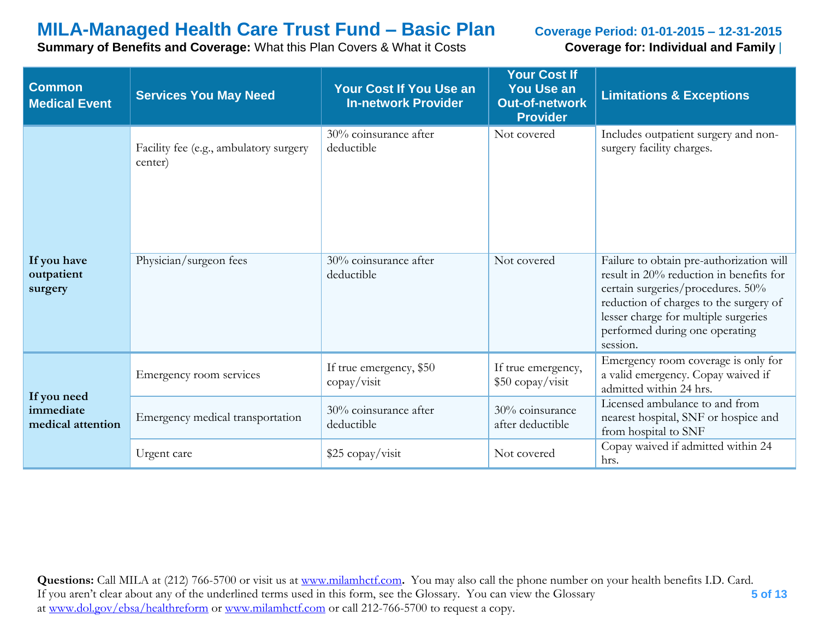**Summary of Benefits and Coverage:** What this Plan Covers & What it Costs **Coverage for: Individual and Family** |

| <b>Common</b><br><b>Medical Event</b>         | <b>Services You May Need</b>                      | <b>Your Cost If You Use an</b><br><b>In-network Provider</b> | <b>Your Cost If</b><br><b>You Use an</b><br><b>Out-of-network</b><br><b>Provider</b> | <b>Limitations &amp; Exceptions</b>                                                                                                                                                                                                                      |
|-----------------------------------------------|---------------------------------------------------|--------------------------------------------------------------|--------------------------------------------------------------------------------------|----------------------------------------------------------------------------------------------------------------------------------------------------------------------------------------------------------------------------------------------------------|
|                                               | Facility fee (e.g., ambulatory surgery<br>center) | 30% coinsurance after<br>deductible                          | Not covered                                                                          | Includes outpatient surgery and non-<br>surgery facility charges.                                                                                                                                                                                        |
| If you have<br>outpatient<br>surgery          | Physician/surgeon fees                            | $30\%$ coinsurance after<br>deductible                       | Not covered                                                                          | Failure to obtain pre-authorization will<br>result in 20% reduction in benefits for<br>certain surgeries/procedures. 50%<br>reduction of charges to the surgery of<br>lesser charge for multiple surgeries<br>performed during one operating<br>session. |
|                                               | Emergency room services                           | If true emergency, \$50<br>copay/visit                       | If true emergency,<br>\$50 copay/visit                                               | Emergency room coverage is only for<br>a valid emergency. Copay waived if<br>admitted within 24 hrs.                                                                                                                                                     |
| If you need<br>immediate<br>medical attention | Emergency medical transportation                  | 30% coinsurance after<br>deductible                          | 30% coinsurance<br>after deductible                                                  | Licensed ambulance to and from<br>nearest hospital, SNF or hospice and<br>from hospital to SNF                                                                                                                                                           |
|                                               | Urgent care                                       | \$25 copay/visit                                             | Not covered                                                                          | Copay waived if admitted within 24<br>hrs.                                                                                                                                                                                                               |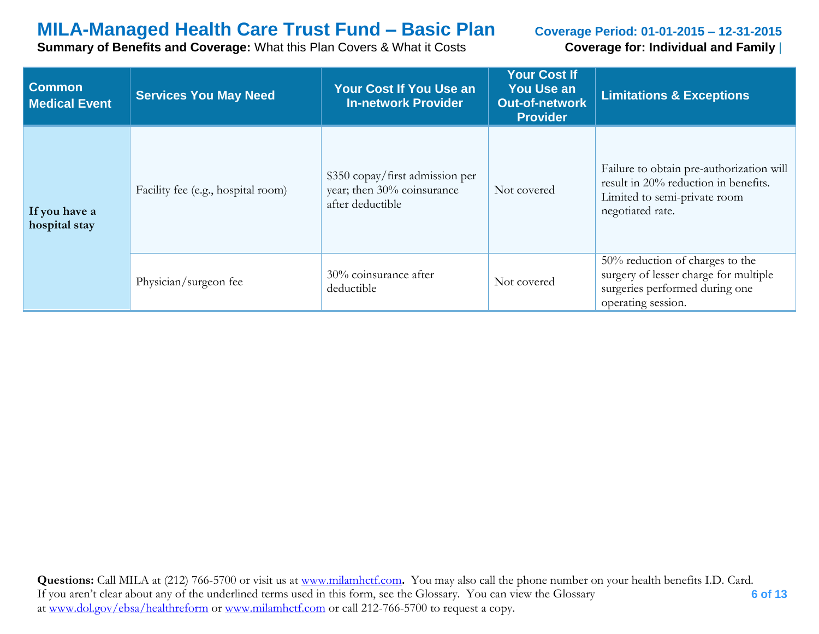**Summary of Benefits and Coverage:** What this Plan Covers & What it Costs **Coverage for: Individual and Family** |

| <b>Common</b><br><b>Medical Event</b> | <b>Services You May Need</b>       | <b>Your Cost If You Use an</b><br><b>In-network Provider</b>                      | <b>Your Cost If</b><br><b>You Use an</b><br><b>Out-of-network</b><br><b>Provider</b> | <b>Limitations &amp; Exceptions</b>                                                                                                  |
|---------------------------------------|------------------------------------|-----------------------------------------------------------------------------------|--------------------------------------------------------------------------------------|--------------------------------------------------------------------------------------------------------------------------------------|
| If you have a<br>hospital stay        | Facility fee (e.g., hospital room) | \$350 copay/first admission per<br>year; then 30% coinsurance<br>after deductible | Not covered                                                                          | Failure to obtain pre-authorization will<br>result in 20% reduction in benefits.<br>Limited to semi-private room<br>negotiated rate. |
|                                       | Physician/surgeon fee              | 30% coinsurance after<br>deductible                                               | Not covered                                                                          | 50% reduction of charges to the<br>surgery of lesser charge for multiple<br>surgeries performed during one<br>operating session.     |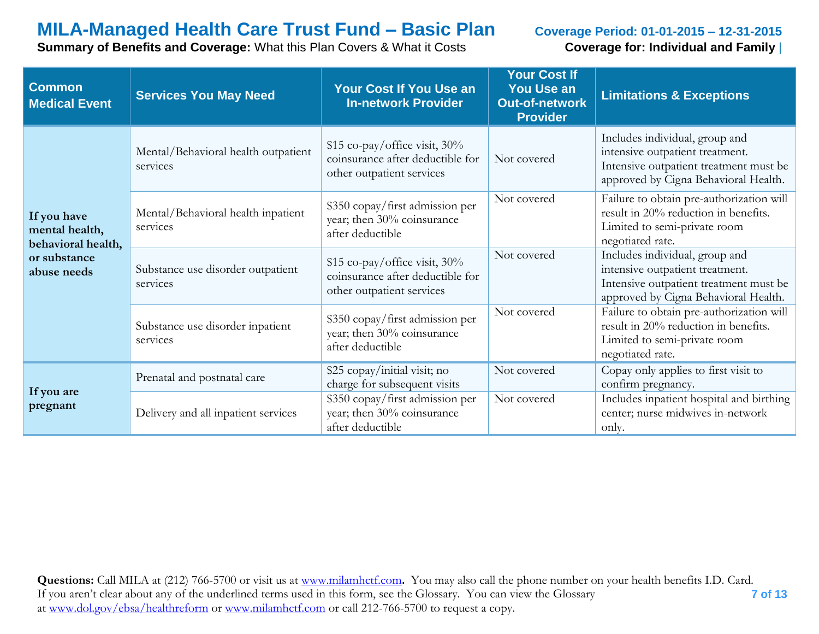**Summary of Benefits and Coverage:** What this Plan Covers & What it Costs **Coverage for: Individual and Family** |

| <b>Common</b><br><b>Medical Event</b>               | <b>Services You May Need</b>                    | Your Cost If You Use an<br><b>In-network Provider</b>                                          | <b>Your Cost If</b><br><b>You Use an</b><br><b>Out-of-network</b><br><b>Provider</b> | <b>Limitations &amp; Exceptions</b>                                                                                                                 |
|-----------------------------------------------------|-------------------------------------------------|------------------------------------------------------------------------------------------------|--------------------------------------------------------------------------------------|-----------------------------------------------------------------------------------------------------------------------------------------------------|
|                                                     | Mental/Behavioral health outpatient<br>services | \$15 co-pay/office visit, 30%<br>coinsurance after deductible for<br>other outpatient services | Not covered                                                                          | Includes individual, group and<br>intensive outpatient treatment.<br>Intensive outpatient treatment must be<br>approved by Cigna Behavioral Health. |
| If you have<br>mental health,<br>behavioral health, | Mental/Behavioral health inpatient<br>services  | \$350 copay/first admission per<br>year; then 30% coinsurance<br>after deductible              | Not covered                                                                          | Failure to obtain pre-authorization will<br>result in 20% reduction in benefits.<br>Limited to semi-private room<br>negotiated rate.                |
| or substance<br>abuse needs                         | Substance use disorder outpatient<br>services   | \$15 co-pay/office visit, 30%<br>coinsurance after deductible for<br>other outpatient services | Not covered                                                                          | Includes individual, group and<br>intensive outpatient treatment.<br>Intensive outpatient treatment must be<br>approved by Cigna Behavioral Health. |
|                                                     | Substance use disorder inpatient<br>services    | \$350 copay/first admission per<br>year; then 30% coinsurance<br>after deductible              | Not covered                                                                          | Failure to obtain pre-authorization will<br>result in 20% reduction in benefits.<br>Limited to semi-private room<br>negotiated rate.                |
|                                                     | Prenatal and postnatal care                     | \$25 copay/initial visit; no<br>charge for subsequent visits                                   | Not covered                                                                          | Copay only applies to first visit to<br>confirm pregnancy.                                                                                          |
| If you are<br>pregnant                              | Delivery and all inpatient services             | \$350 copay/first admission per<br>year; then 30% coinsurance<br>after deductible              | Not covered                                                                          | Includes inpatient hospital and birthing<br>center; nurse midwives in-network<br>only.                                                              |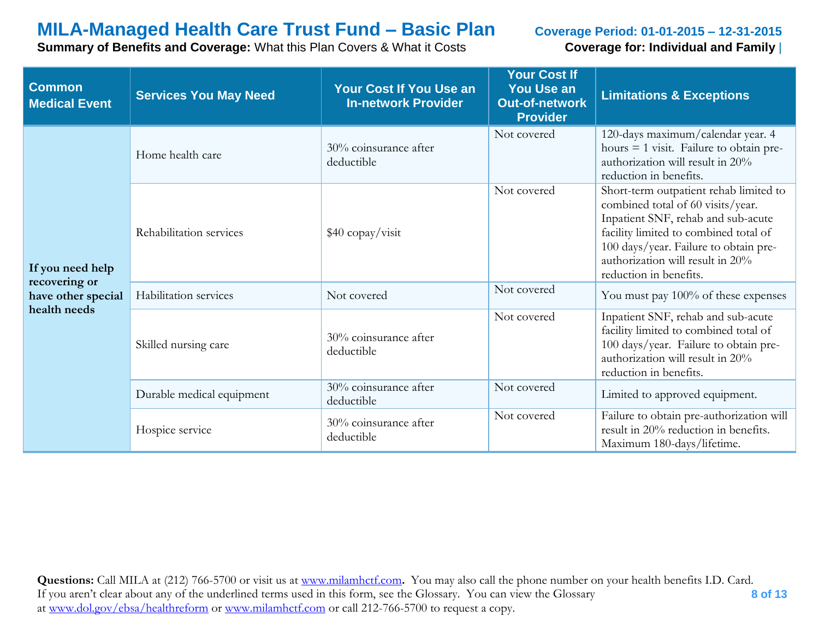**Summary of Benefits and Coverage:** What this Plan Covers & What it Costs **Coverage for: Individual and Family** |

| <b>Common</b><br><b>Medical Event</b>                                   | <b>Services You May Need</b> | <b>Your Cost If You Use an</b><br><b>In-network Provider</b> | <b>Your Cost If</b><br><b>You Use an</b><br><b>Out-of-network</b><br><b>Provider</b> | <b>Limitations &amp; Exceptions</b>                                                                                                                                                                                                                               |
|-------------------------------------------------------------------------|------------------------------|--------------------------------------------------------------|--------------------------------------------------------------------------------------|-------------------------------------------------------------------------------------------------------------------------------------------------------------------------------------------------------------------------------------------------------------------|
| If you need help<br>recovering or<br>have other special<br>health needs | Home health care             | 30% coinsurance after<br>deductible                          | Not covered                                                                          | 120-days maximum/calendar year. 4<br>hours $=$ 1 visit. Failure to obtain pre-<br>authorization will result in 20%<br>reduction in benefits.                                                                                                                      |
|                                                                         | Rehabilitation services      | \$40 copay/visit                                             | Not covered                                                                          | Short-term outpatient rehab limited to<br>combined total of 60 visits/year.<br>Inpatient SNF, rehab and sub-acute<br>facility limited to combined total of<br>100 days/year. Failure to obtain pre-<br>authorization will result in 20%<br>reduction in benefits. |
|                                                                         | Habilitation services        | Not covered                                                  | Not covered                                                                          | You must pay 100% of these expenses                                                                                                                                                                                                                               |
|                                                                         | Skilled nursing care         | 30% coinsurance after<br>deductible                          | Not covered                                                                          | Inpatient SNF, rehab and sub-acute<br>facility limited to combined total of<br>100 days/year. Failure to obtain pre-<br>authorization will result in 20%<br>reduction in benefits.                                                                                |
|                                                                         | Durable medical equipment    | 30% coinsurance after<br>deductible                          | Not covered                                                                          | Limited to approved equipment.                                                                                                                                                                                                                                    |
|                                                                         | Hospice service              | 30% coinsurance after<br>deductible                          | Not covered                                                                          | Failure to obtain pre-authorization will<br>result in 20% reduction in benefits.<br>Maximum 180-days/lifetime.                                                                                                                                                    |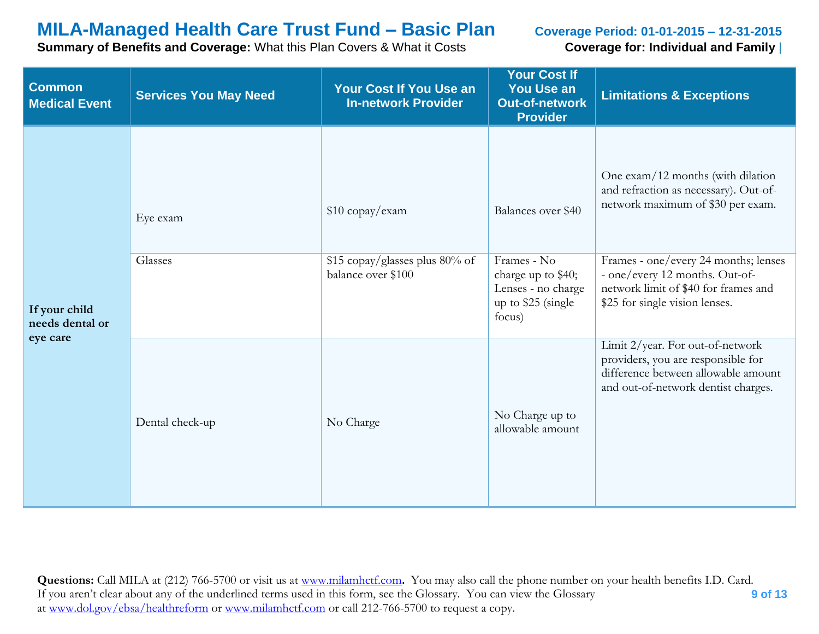**Summary of Benefits and Coverage:** What this Plan Covers & What it Costs **Coverage for: Individual and Family** |

| <b>Common</b><br><b>Medical Event</b> | <b>Services You May Need</b> | <b>Your Cost If You Use an</b><br><b>In-network Provider</b>            | <b>Your Cost If</b><br>You Use an<br><b>Out-of-network</b><br><b>Provider</b>                                 | <b>Limitations &amp; Exceptions</b>                                                                                                                                                                                                                                 |
|---------------------------------------|------------------------------|-------------------------------------------------------------------------|---------------------------------------------------------------------------------------------------------------|---------------------------------------------------------------------------------------------------------------------------------------------------------------------------------------------------------------------------------------------------------------------|
| If your child                         | Eye exam<br>Glasses          | \$10 copay/exam<br>\$15 copay/glasses plus 80% of<br>balance over \$100 | Balances over \$40<br>Frames - No<br>charge up to \$40;<br>Lenses - no charge<br>up to \$25 (single<br>focus) | One exam/12 months (with dilation<br>and refraction as necessary). Out-of-<br>network maximum of \$30 per exam.<br>Frames - one/every 24 months; lenses<br>- one/every 12 months. Out-of-<br>network limit of \$40 for frames and<br>\$25 for single vision lenses. |
| needs dental or<br>eye care           | Dental check-up              | No Charge                                                               | No Charge up to<br>allowable amount                                                                           | Limit 2/year. For out-of-network<br>providers, you are responsible for<br>difference between allowable amount<br>and out-of-network dentist charges.                                                                                                                |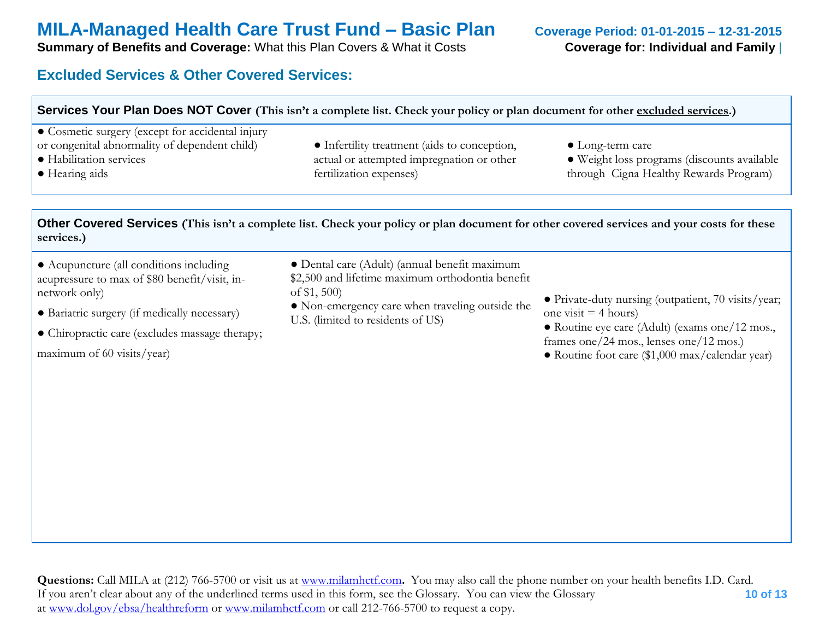**Summary of Benefits and Coverage:** What this Plan Covers & What it Costs **Coverage for: Individual and Family** 

### **Excluded Services & Other Covered Services:**

| Services Your Plan Does NOT Cover (This isn't a complete list. Check your policy or plan document for other excluded services.)                        |                                                                                                                      |                                                                                                                   |  |  |
|--------------------------------------------------------------------------------------------------------------------------------------------------------|----------------------------------------------------------------------------------------------------------------------|-------------------------------------------------------------------------------------------------------------------|--|--|
| • Cosmetic surgery (except for accidental injury<br>or congenital abnormality of dependent child)<br>• Habilitation services<br>$\bullet$ Hearing aids | • Infertility treatment (aids to conception,<br>actual or attempted impregnation or other<br>fertilization expenses) | $\bullet$ Long-term care<br>• Weight loss programs (discounts available<br>through Cigna Healthy Rewards Program) |  |  |

**Other Covered Services (This isn't a complete list. Check your policy or plan document for other covered services and your costs for these services.)**

- Acupuncture (all conditions including acupressure to max of \$80 benefit/visit, innetwork only)
- Bariatric surgery (if medically necessary)
- Chiropractic care (excludes massage therapy;

maximum of 60 visits/year)

- Dental care (Adult) (annual benefit maximum
- \$2,500 and lifetime maximum orthodontia benefit of \$1, 500)
- Non-emergency care when traveling outside the U.S. (limited to residents of US)
- Private-duty nursing (outpatient, 70 visits/year; one visit  $=$  4 hours)
- Routine eye care (Adult) (exams one/12 mos., frames one/24 mos., lenses one/12 mos.)
- Routine foot care (\$1,000 max/calendar year)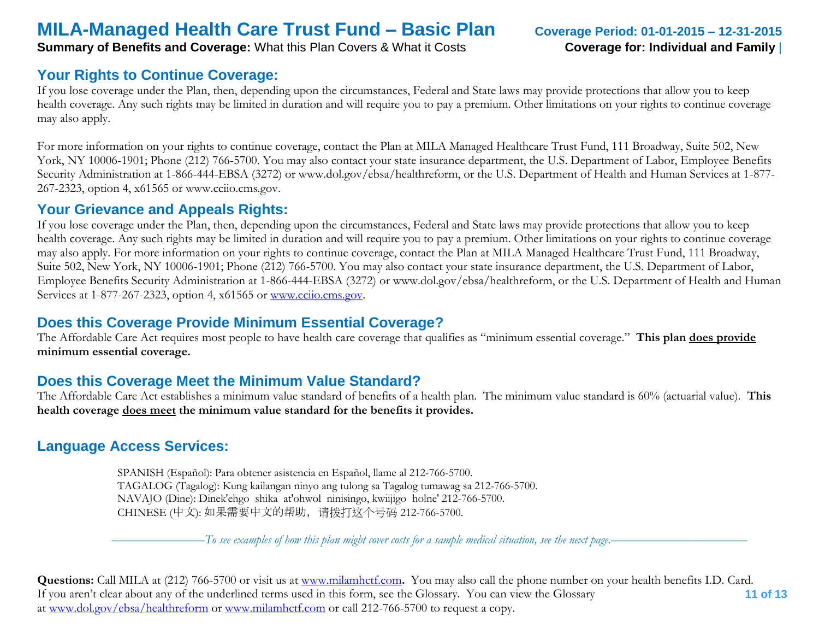**Summary of Benefits and Coverage:** What this Plan Covers & What it Costs **Coverage for: Individual and Family** 

#### **Your Rights to Continue Coverage:**

If you lose coverage under the Plan, then, depending upon the circumstances, Federal and State laws may provide protections that allow you to keep health coverage. Any such rights may be limited in duration and will require you to pay a premium. Other limitations on your rights to continue coverage may also apply.

For more information on your rights to continue coverage, contact the Plan at MILA Managed Healthcare Trust Fund, 111 Broadway, Suite 502, New York, NY 10006-1901; Phone (212) 766-5700. You may also contact your state insurance department, the U.S. Department of Labor, Employee Benefits Security Administration at 1-866-444-EBSA (3272) or www.dol.gov/ebsa/healthreform, or the U.S. Department of Health and Human Services at 1-877- 267-2323, option 4, x61565 or www.cciio.cms.gov.

#### **Your Grievance and Appeals Rights:**

If you lose coverage under the Plan, then, depending upon the circumstances, Federal and State laws may provide protections that allow you to keep health coverage. Any such rights may be limited in duration and will require you to pay a premium. Other limitations on your rights to continue coverage may also apply. For more information on your rights to continue coverage, contact the Plan at MILA Managed Healthcare Trust Fund, 111 Broadway, Suite 502, New York, NY 10006-1901; Phone (212) 766-5700. You may also contact your state insurance department, the U.S. Department of Labor, Employee Benefits Security Administration at 1-866-444-EBSA (3272) or www.dol.gov/ebsa/healthreform, or the U.S. Department of Health and Human Services at 1-877-267-2323, option 4, x61565 or [www.cciio.cms.gov.](http://www.cciio.cms.gov/)

#### **Does this Coverage Provide Minimum Essential Coverage?**

The Affordable Care Act requires most people to have health care coverage that qualifies as "minimum essential coverage." **This plan does provide minimum essential coverage.** 

#### **Does this Coverage Meet the Minimum Value Standard?**

The Affordable Care Act establishes a minimum value standard of benefits of a health plan. The minimum value standard is 60% (actuarial value). **This health coverage does meet the minimum value standard for the benefits it provides.** 

#### **Language Access Services:**

 SPANISH (Español): Para obtener asistencia en Español, llame al 212-766-5700. TAGALOG (Tagalog): Kung kailangan ninyo ang tulong sa Tagalog tumawag sa 212-766-5700. NAVAJO (Dine): Dinek'ehgo shika at'ohwol ninisingo, kwiijigo holne' 212-766-5700. CHINESE (中文): 如果需要中文的帮助,请拨打这个号码 212-766-5700.

–––––––––––––––*To see examples of how this plan might cover costs for a sample medical situation, see the next page.–––––––––––*–––––––––––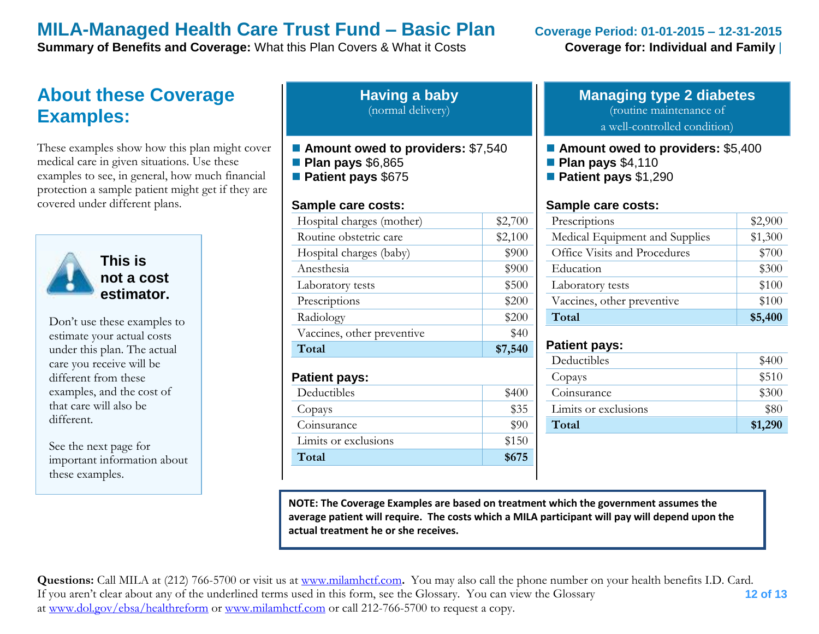**Summary of Benefits and Coverage:** What this Plan Covers & What it Costs **Coverage for: Individual and Family** 

## **About these Coverage Examples:**

These examples show how this plan might cover medical care in given situations. Use these examples to see, in general, how much financial protection a sample patient might get if they are covered under different plans.



**This is not a cost estimator.** 

Don't use these examples to estimate your actual costs under this plan. The actual care you receive will be different from these examples, and the cost of that care will also be different.

See the next page for important information about these examples.

| <b>Having a baby</b> |  |
|----------------------|--|
| (normal delivery)    |  |

- Amount owed to providers: \$7,540
- **Plan pays** \$6,865
- **Patient pays** \$675

#### **Sample care costs:**

| Total                      | \$7,540 |
|----------------------------|---------|
| Vaccines, other preventive | \$40    |
| Radiology                  | \$200   |
| Prescriptions              | \$200   |
| Laboratory tests           | \$500   |
| Anesthesia                 | \$900   |
| Hospital charges (baby)    | \$900   |
| Routine obstetric care     | \$2,100 |
| Hospital charges (mother)  | \$2,700 |
|                            |         |

#### **Patient pays:**

| \$400 |
|-------|
| \$35  |
| \$90  |
| \$150 |
| \$675 |
|       |

### **Managing type 2 diabetes** (routine maintenance of

a well-controlled condition)

- **Amount owed to providers: \$5,400**
- **Plan pays** \$4,110
- **Patient pays** \$1,290

#### **Sample care costs:**

| Prescriptions                  | \$2,900 |
|--------------------------------|---------|
| Medical Equipment and Supplies | \$1,300 |
| Office Visits and Procedures   | \$700   |
| Education                      | \$300   |
| Laboratory tests               | \$100   |
| Vaccines, other preventive     | \$100   |
| Total                          | \$5,400 |

#### **Patient pays:**

| Deductibles          | \$400   |
|----------------------|---------|
| Copays               | \$510   |
| Coinsurance          | \$300   |
| Limits or exclusions | \$80    |
| Total                | \$1,290 |
|                      |         |

**NOTE: The Coverage Examples are based on treatment which the government assumes the average patient will require. The costs which a MILA participant will pay will depend upon the actual treatment he or she receives.**